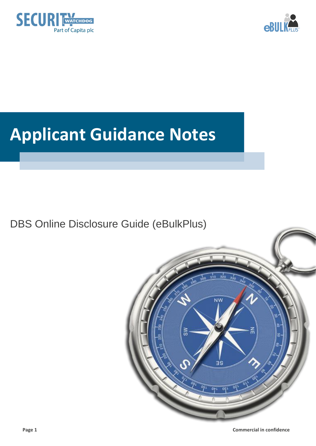



# **Applicant Guidance Notes**

DBS Online Disclosure Guide (eBulkPlus)

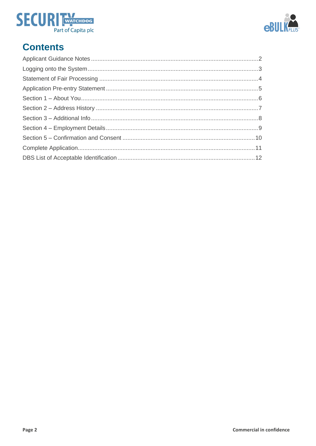



## **Contents**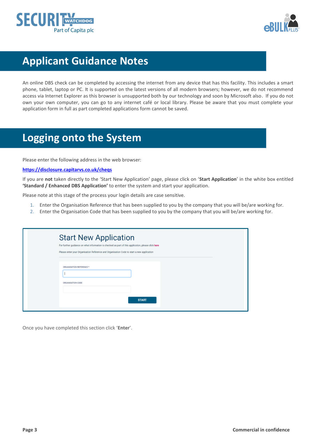



## **Applicant Guidance Notes**

An online DBS check can be completed by accessing the internet from any device that has this facility. This includes a smart phone, tablet, laptop or PC. It is supported on the latest versions of all modern browsers; however, we do not recommend access via Internet Explorer as this browser is unsupported both by our technology and soon by Microsoft also. If you do not own your own computer, you can go to any internet café or local library. Please be aware that you must complete your application form in full as part completed applications form cannot be saved.

## **Logging onto the System**

Please enter the following address in the web browser:

#### **<https://disclosure.capitarvs.co.uk/cheqs>**

If you are **not** taken directly to the 'Start New Application' page, please click on '**Start Application**' in the white box entitled **'Standard / Enhanced DBS Application'** to enter the system and start your application.

Please note at this stage of the process your login details are case sensitive.

- 1. Enter the Organisation Reference that has been supplied to you by the company that you will be/are working for.
- 2. Enter the Organisation Code that has been supplied to you by the company that you will be/are working for.

| <b>Start New Application</b><br>For further guidance on what information is checked as part of this application, please click here<br>Please enter your Organisation Reference and Organisation Code to start a new application |              |  |
|---------------------------------------------------------------------------------------------------------------------------------------------------------------------------------------------------------------------------------|--------------|--|
| <b>ORGANISATION REFERENCE *</b><br><b>ORGANISATION CODE</b>                                                                                                                                                                     | <b>START</b> |  |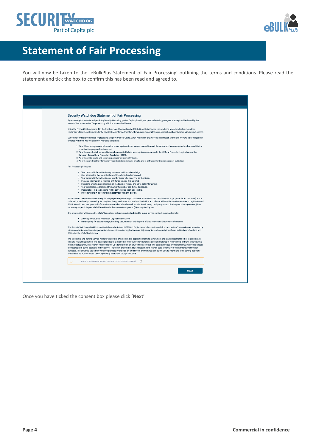



## **Statement of Fair Processing**

You will now be taken to the 'eBulkPlus Statement of Fair Processing' outlining the terms and conditions. Please read the statement and tick the box to confirm this has been read and agreed to.

| Security Watchdog Statement of Fair Processing                                                                                                                                                                                                                                                                                                                                                                                                                                                                                                                                                                                                                                                                                                                                                                                                                    |
|-------------------------------------------------------------------------------------------------------------------------------------------------------------------------------------------------------------------------------------------------------------------------------------------------------------------------------------------------------------------------------------------------------------------------------------------------------------------------------------------------------------------------------------------------------------------------------------------------------------------------------------------------------------------------------------------------------------------------------------------------------------------------------------------------------------------------------------------------------------------|
| By accessing this website and providing Security Watchdog, part of Capita plc with your personal details, you agree to accept and be bound by the<br>terms of this statement of fair processing which is summarised below.                                                                                                                                                                                                                                                                                                                                                                                                                                                                                                                                                                                                                                        |
| Using the IT specification supplied by the Disclosure and Barring Service (DBS), Security Watchdog has produced an online disclosure system,<br>eBulkPlus, which is an alternative to the standard paper forms, therefore allowing you to complete your application at any location with internet access.                                                                                                                                                                                                                                                                                                                                                                                                                                                                                                                                                         |
| Our online service is committed to protecting the privacy of our users. When you supply any personal information to this site we have legal obligations<br>towards you in the way we deal with your data as follows:                                                                                                                                                                                                                                                                                                                                                                                                                                                                                                                                                                                                                                              |
| 1. We will hold your personal information on our systems for as long as needed to meet the service you have requested, and remove it in the                                                                                                                                                                                                                                                                                                                                                                                                                                                                                                                                                                                                                                                                                                                       |
| event that the purpose has been met.<br>2. We will ensure that all personal information supplied is held securely, in accordance with the UK Data Protection Legislation and the                                                                                                                                                                                                                                                                                                                                                                                                                                                                                                                                                                                                                                                                                  |
| European General Data Protection Regulation (GDPR).                                                                                                                                                                                                                                                                                                                                                                                                                                                                                                                                                                                                                                                                                                                                                                                                               |
| 3. We will provide a safe and secure experience for users of this site.                                                                                                                                                                                                                                                                                                                                                                                                                                                                                                                                                                                                                                                                                                                                                                                           |
| 4. We will ensure that the information you submit to us remains private, and is only used for the purposes set out below.                                                                                                                                                                                                                                                                                                                                                                                                                                                                                                                                                                                                                                                                                                                                         |
| Fair Processing Principles                                                                                                                                                                                                                                                                                                                                                                                                                                                                                                                                                                                                                                                                                                                                                                                                                                        |
| * Your personal information is only processed with your knowledge.                                                                                                                                                                                                                                                                                                                                                                                                                                                                                                                                                                                                                                                                                                                                                                                                |
| . Only information that we actually need is collected and processed.                                                                                                                                                                                                                                                                                                                                                                                                                                                                                                                                                                                                                                                                                                                                                                                              |
| • Your personal information is only seen by those who need it to do their jobs.                                                                                                                                                                                                                                                                                                                                                                                                                                                                                                                                                                                                                                                                                                                                                                                   |
| • Personal information is retained only for as long as it is required.                                                                                                                                                                                                                                                                                                                                                                                                                                                                                                                                                                                                                                                                                                                                                                                            |
| • Decisions affecting you are made on the basis of reliable and up to date information.                                                                                                                                                                                                                                                                                                                                                                                                                                                                                                                                                                                                                                                                                                                                                                           |
| • Your information is protected from unauthorised or accidental disclosure.                                                                                                                                                                                                                                                                                                                                                                                                                                                                                                                                                                                                                                                                                                                                                                                       |
| · Inaccurate or misleading data will be corrected as soon as possible.                                                                                                                                                                                                                                                                                                                                                                                                                                                                                                                                                                                                                                                                                                                                                                                            |
| • Procedures are in place for dealing promptly with any dispute.                                                                                                                                                                                                                                                                                                                                                                                                                                                                                                                                                                                                                                                                                                                                                                                                  |
| All information requested is used solely for the purpose of producing a Disclosure Scotland or DBS certificate (as appropriate for your location) and is<br>collected, stored and processed by Security Watchdog, Disclosure Scotland and the DBS in accordance with the UK Data Protection Act Legislation and<br>GDPR. We will treat your personal information as confidential and we will not disclose it to any third party except: (i) with your prior agreement; (ii) as<br>necessary for providing our eBulkPlus online disclosure service to you; or (iii) as required by law.                                                                                                                                                                                                                                                                            |
| Any organisation which uses this eBulkPlus online disclosure service is obliged to sign a service contract requiring them to:                                                                                                                                                                                                                                                                                                                                                                                                                                                                                                                                                                                                                                                                                                                                     |
| . Abide by the UK Data Protection Legislation and GDPR                                                                                                                                                                                                                                                                                                                                                                                                                                                                                                                                                                                                                                                                                                                                                                                                            |
| • Have a policy for secure storage, handling, use, retention and disposal of Disclosures and Disclosure Information                                                                                                                                                                                                                                                                                                                                                                                                                                                                                                                                                                                                                                                                                                                                               |
| The Security Watchdog eBulkPlus solution is hosted within an ISO27001, Capita owned data centre and all components of the service are protected by<br>intrusion detection and intrusion prevention devices. Completed applications are fully encrypted and securely transferred to Disclosure Scotland and<br>DBS using the eBulkPlus Interface.                                                                                                                                                                                                                                                                                                                                                                                                                                                                                                                  |
| The Disclosure and Barring Service will refer the details provided on this application form to government and law enforcement bodies in accordance<br>with any relevant legislation. The details provided to these bodies will be used for identifying possible matches to records held by them. Where such a<br>match is established, data may be released to the DBS for inclusion on any certificate issued. The details provided on this form may be used to update<br>the records held by the bodies specified above. The details provided on the application form may be used to verify your identity for authentication<br>purposes. The DBS may use any information provided by the DBS on a certificate or otherwise held by the DBS to inform any of its barring decisions<br>made under its powers within the Safeguarding Vulnerable Groups Act 2006. |
| $\bigcap$<br>I HAVE READ AND UNDERSTAND THIS STATEMENT (TICK TO CONFIRM)                                                                                                                                                                                                                                                                                                                                                                                                                                                                                                                                                                                                                                                                                                                                                                                          |
| <b>NEXT</b>                                                                                                                                                                                                                                                                                                                                                                                                                                                                                                                                                                                                                                                                                                                                                                                                                                                       |
|                                                                                                                                                                                                                                                                                                                                                                                                                                                                                                                                                                                                                                                                                                                                                                                                                                                                   |
|                                                                                                                                                                                                                                                                                                                                                                                                                                                                                                                                                                                                                                                                                                                                                                                                                                                                   |

Once you have ticked the consent box please click '**Next**'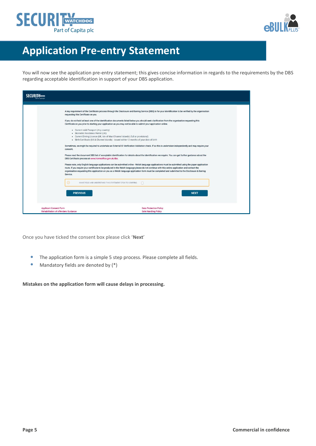



## **Application Pre-entry Statement**

You will now see the application pre-entry statement; this gives concise information in regards to the requirements by the DBS regarding acceptable identification in support of your DBS application.

|                                                                              | A key requirement of the Certificate process through the Disclosure and Barring Service (DBS) is for your identification to be verified by the organisation<br>requesting this Certificate on you.<br>If you do not hold at least one of the identification documents listed below you should seek clarification from the organisation requesting this<br>Certificate on you prior to starting your application as you may not be able to submit your application online.<br>• Current valid Passport (Any country)<br>· Biometric Residence Permit (UK)<br>• Current Driving Licence (UK, Isle of Man/Channel Islands) (full or provisional)<br>· Birth Certificate (UK & Channel Islands) - issued within 12 months of your date of birth<br>Sometimes, we might be required to undertake an External ID Verification Validation check. If so this is undertaken independently and may require your<br>consent.<br>Please read the document DBS list of acceptable identification for details about the identification we require. You can get further guidance about the<br>DBS Certificate process at www.homeoffice.gov.uk/dbs.<br>Please note, only English language applications can be submitted online - Welsh language applications must be submitted using the paper application<br>route. If you require your certificate to be produced in the Welsh language please do not continue with this online application and contact the<br>organisation requesting this application on you as a Welsh language application form must be completed and submitted to the Disclosure & Barring<br>Service.<br>$\odot$<br>I HAVE READ AND UNDERSTAND THIS STATEMENT (TICK TO CONFIRM)<br>n |                                                                             |  |
|------------------------------------------------------------------------------|-----------------------------------------------------------------------------------------------------------------------------------------------------------------------------------------------------------------------------------------------------------------------------------------------------------------------------------------------------------------------------------------------------------------------------------------------------------------------------------------------------------------------------------------------------------------------------------------------------------------------------------------------------------------------------------------------------------------------------------------------------------------------------------------------------------------------------------------------------------------------------------------------------------------------------------------------------------------------------------------------------------------------------------------------------------------------------------------------------------------------------------------------------------------------------------------------------------------------------------------------------------------------------------------------------------------------------------------------------------------------------------------------------------------------------------------------------------------------------------------------------------------------------------------------------------------------------------------------------------------------------------------------------------------------------------------------|-----------------------------------------------------------------------------|--|
| <b>Applicant Consent Form</b><br><b>Rehabilitation of offenders Guidance</b> | <b>PREVIOUS</b>                                                                                                                                                                                                                                                                                                                                                                                                                                                                                                                                                                                                                                                                                                                                                                                                                                                                                                                                                                                                                                                                                                                                                                                                                                                                                                                                                                                                                                                                                                                                                                                                                                                                               | <b>NEXT</b><br><b>Data Protection Policy</b><br><b>Safe Handling Policy</b> |  |

Once you have ticked the consent box please click '**Next**'

- The application form is a simple 5 step process. Please complete all fields.
- Mandatory fields are denoted by  $(*)$

**Mistakes on the application form will cause delays in processing.**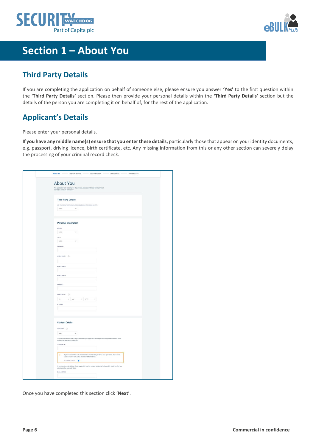



## **Section 1 – About You**

### **Third Party Details**

If you are completing the application on behalf of someone else, please ensure you answer **'Yes'** to the first question within the **'Third Party Details'** section. Please then provide your personal details within the **'Third Party Details'** section but the details of the person you are completing it on behalf of, for the rest of the application.

## **Applicant's Details**

Please enter your personal details.

**If you have any middle name(s) ensure that you enter these details**, particularly those that appear on your identity documents, e.g. passport, driving licence, birth certificate, etc. Any missing information from this or any other section can severely delay the processing of your criminal record check.

| <b>About You</b>                                                                                                           |
|----------------------------------------------------------------------------------------------------------------------------|
| The application form is a simple 5 step process, please complete all fields provided.<br>Mandatory fields are denoted by * |
|                                                                                                                            |
| <b>Third Party Details</b>                                                                                                 |
| ARE YOU COMPLETING THIS APPLICATION ON BEHALF OF SOMEONE ELSEY (*)                                                         |
| Select<br>$\checkmark$                                                                                                     |
|                                                                                                                            |
| <b>Personal Information</b>                                                                                                |
| GENOEN*                                                                                                                    |
| Select<br>$\overline{\phantom{0}}$                                                                                         |
| TITLE*                                                                                                                     |
| Select                                                                                                                     |
| FORDIANE .                                                                                                                 |
|                                                                                                                            |
| MODLENAME1 (i)                                                                                                             |
|                                                                                                                            |
| MODLE NAME 2                                                                                                               |
|                                                                                                                            |
| MODLE NAME 3                                                                                                               |
|                                                                                                                            |
| SURFAME *                                                                                                                  |
|                                                                                                                            |
| DATE OF BUILTY (                                                                                                           |
| $~\vee$ MM.<br>$~\vee~$ YYYY<br>00<br>$\checkmark$                                                                         |
| <b>NUMBER</b>                                                                                                              |
|                                                                                                                            |
|                                                                                                                            |
| <b>Contact Details</b>                                                                                                     |
| LANSINGE*                                                                                                                  |
| Select<br>$\checkmark$                                                                                                     |
| To speed up the resolution of any queries with your application please provide a telephone number or email                 |
| address we can use to contact you.<br>TELEPHONE NO                                                                         |
|                                                                                                                            |
| $\circ$<br>If you have provided a UK mobile number we may text you about your application. If you do not                   |
| want to receive texts untick the 'Allow SMS Alert' box.<br>ALLOW SMS ALERTS :<br>$\overline{a}$                            |
| If you have an email address please supply this to allow an automated email to be sent to you to confirm your              |
| application has been submitted.                                                                                            |
| EMAX, ADDRESS                                                                                                              |
|                                                                                                                            |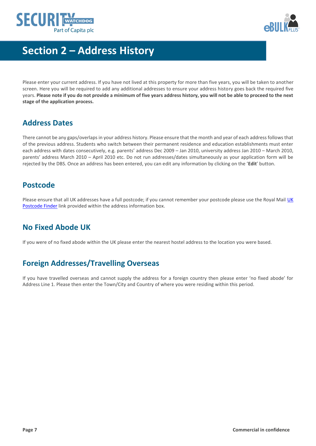



## **Section 2 – Address History**

Please enter your current address. If you have not lived at this property for more than five years, you will be taken to another screen. Here you will be required to add any additional addresses to ensure your address history goes back the required five years. **Please note if you do not provide a minimum of five years address history, you will not be able to proceed to the next stage of the application process.**

### **Address Dates**

There cannot be any gaps/overlaps in your address history. Please ensure that the month and year of each address follows that of the previous address. Students who switch between their permanent residence and education establishments must enter each address with dates consecutively, e.g. parents' address Dec 2009 – Jan 2010, university address Jan 2010 – March 2010, parents' address March 2010 – April 2010 etc. Do not run addresses/dates simultaneously as your application form will be rejected by the DBS. Once an address has been entered, you can edit any information by clicking on the '**Edit**' button.

#### **Postcode**

Please ensure that all UK addresses have a full postcode; if you cannot remember your postcode please use the Royal Mail [UK](http://postcode.royalmail.com/portal/rm/postcodefinder?catId=400145&gear=postcode)  [Postcode Finder](http://postcode.royalmail.com/portal/rm/postcodefinder?catId=400145&gear=postcode) link provided within the address information box.

### **No Fixed Abode UK**

If you were of no fixed abode within the UK please enter the nearest hostel address to the location you were based.

## **Foreign Addresses/Travelling Overseas**

If you have travelled overseas and cannot supply the address for a foreign country then please enter 'no fixed abode' for Address Line 1. Please then enter the Town/City and Country of where you were residing within this period.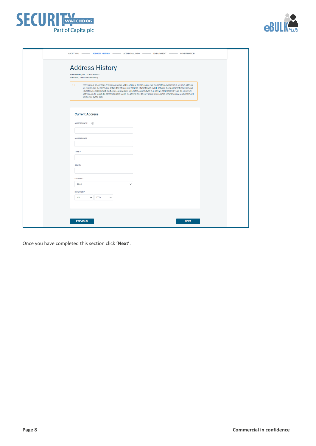



|              | ABOUT YOU ----------- ADDRESS HISTORY ----------- ADDITIONAL INFO ---------- EMPLOYMENT ---------- CONFIRMATION                                                                                                                                                                                                                                                                                                                                                                                                                                  |
|--------------|--------------------------------------------------------------------------------------------------------------------------------------------------------------------------------------------------------------------------------------------------------------------------------------------------------------------------------------------------------------------------------------------------------------------------------------------------------------------------------------------------------------------------------------------------|
|              | <b>Address History</b><br>Please enter your current address<br>Mandatory fields are denoted by *                                                                                                                                                                                                                                                                                                                                                                                                                                                 |
| $^\circledR$ | There cannot be any gaps or overlaps in your address history. Please ensure that the month and year from a previous address<br>are repeated as the same date at the start of your next address. Students who switch between their permanent residence and<br>educational establishment must enter each address with dates consecutively e.g. parents address Dec 09-Jan 10, University<br>address Jan 10-March 10, parents address March 10-April 10 etc. Do not run addresses/dates simultaneously as your form will<br>be rejected by the DBS. |
|              | <b>Current Address</b><br>ADDRESS LINE 1* (i)                                                                                                                                                                                                                                                                                                                                                                                                                                                                                                    |
|              | <b>ADDRESS LINE 2</b>                                                                                                                                                                                                                                                                                                                                                                                                                                                                                                                            |
|              | TOWN *<br><b>COUNTY</b>                                                                                                                                                                                                                                                                                                                                                                                                                                                                                                                          |
|              | <b>COUNTRY*</b><br>Select<br>$\checkmark$                                                                                                                                                                                                                                                                                                                                                                                                                                                                                                        |
|              | DATE FROM *<br>MM<br>YYYY<br>$\check{~}$                                                                                                                                                                                                                                                                                                                                                                                                                                                                                                         |
|              | <b>PREVIOUS</b><br><b>NEXT</b>                                                                                                                                                                                                                                                                                                                                                                                                                                                                                                                   |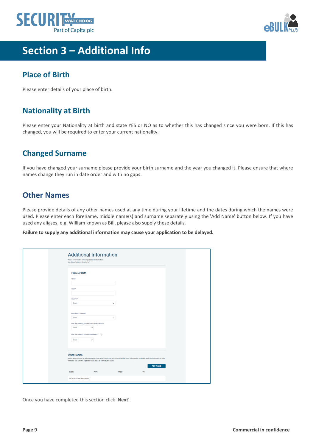



## **Section 3 – Additional Info**

### **Place of Birth**

Please enter details of your place of birth.

## **Nationality at Birth**

Please enter your Nationality at birth and state YES or NO as to whether this has changed since you were born. If this has changed, you will be required to enter your current nationality.

#### **Changed Surname**

If you have changed your surname please provide your birth surname and the year you changed it. Please ensure that where names change they run in date order and with no gaps.

#### **Other Names**

Please provide details of any other names used at any time during your lifetime and the dates during which the names were used. Please enter each forename, middle name(s) and surname separately using the 'Add Name' button below. If you have used any aliases, e.g. William known as Bill, please also supply these details.

**Failure to supply any additional information may cause your application to be delayed.** 

| <b>Place of Birth</b><br>TOWN *<br>COUNTY<br>COUNTRY *<br>Select<br>$\checkmark$<br>NATIONALITY AT BIRTH *<br>Select<br>$\checkmark$<br>HAVE YOU CHANGED YOUR NATIONALITY SINCE BIRTH? *<br>Select<br>$\checkmark$<br>HAVE YOU CHANGED YOUR BIRTH SURNAME? * (i)<br>Select<br>$\checkmark$<br><b>Other Names</b><br>Please provide details of any other names used at any time during your lifetime and the dates during which the names were used. Please enter each<br>forename and surname separately using the 'Add Name' button below.<br><b>ADD NAME</b><br><b>NAME</b><br>TYPE<br><b>FROM</b><br><b>TO</b> | Mandatory fields are denoted by * | <b>Additional Information</b><br>Please complete the following additional information |  |
|-------------------------------------------------------------------------------------------------------------------------------------------------------------------------------------------------------------------------------------------------------------------------------------------------------------------------------------------------------------------------------------------------------------------------------------------------------------------------------------------------------------------------------------------------------------------------------------------------------------------|-----------------------------------|---------------------------------------------------------------------------------------|--|
|                                                                                                                                                                                                                                                                                                                                                                                                                                                                                                                                                                                                                   |                                   |                                                                                       |  |
|                                                                                                                                                                                                                                                                                                                                                                                                                                                                                                                                                                                                                   |                                   |                                                                                       |  |
|                                                                                                                                                                                                                                                                                                                                                                                                                                                                                                                                                                                                                   |                                   |                                                                                       |  |
|                                                                                                                                                                                                                                                                                                                                                                                                                                                                                                                                                                                                                   |                                   |                                                                                       |  |
|                                                                                                                                                                                                                                                                                                                                                                                                                                                                                                                                                                                                                   |                                   |                                                                                       |  |
|                                                                                                                                                                                                                                                                                                                                                                                                                                                                                                                                                                                                                   |                                   |                                                                                       |  |
|                                                                                                                                                                                                                                                                                                                                                                                                                                                                                                                                                                                                                   |                                   |                                                                                       |  |
|                                                                                                                                                                                                                                                                                                                                                                                                                                                                                                                                                                                                                   |                                   |                                                                                       |  |
| No records have been created                                                                                                                                                                                                                                                                                                                                                                                                                                                                                                                                                                                      |                                   |                                                                                       |  |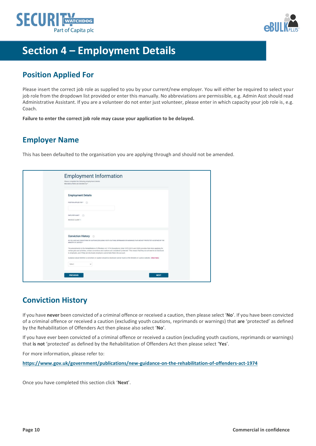



## **Section 4 – Employment Details**

### **Position Applied For**

Please insert the correct job role as supplied to you by your current/new employer. You will either be required to select your job role from the dropdown list provided or enter this manually. No abbreviations are permissible, e.g. Admin Asst should read Administrative Assistant. If you are a volunteer do not enter just volunteer, please enter in which capacity your job role is, e.g. Coach.

**Failure to enter the correct job role may cause your application to be delayed.**

## **Employer Name**

This has been defaulted to the organisation you are applying through and should not be amended.

| Please complete the following employment details<br>Mandatory fields are denoted by * | <b>Employment Information</b>                                                                                                                                                                                                                                                                                                                                                                                                                                                                             |  |
|---------------------------------------------------------------------------------------|-----------------------------------------------------------------------------------------------------------------------------------------------------------------------------------------------------------------------------------------------------------------------------------------------------------------------------------------------------------------------------------------------------------------------------------------------------------------------------------------------------------|--|
| <b>Employment Details</b><br>POSITION APPLIED FOR * (1)<br>EMPLOYER NAME * (1)        |                                                                                                                                                                                                                                                                                                                                                                                                                                                                                                           |  |
| INVOICE CLIENT 1<br><b>Conviction History</b> ©<br>MINISTRY OF JUSTICE? *             | DO YOU HAVE ANY CONVICTIONS OR CAUTIONS (EXCLUDING YOUTH CAUTIONS, REPRIMANDS OR WARNINGS) THAT ARE NOT 'PROTECTED' AS DEFINED BY THE                                                                                                                                                                                                                                                                                                                                                                     |  |
|                                                                                       | The amendments to the Rehabilitation of Offenders Act 1974 (Exceptions) Order 1975 (2013 and 2020) provides that when applying for<br>certain jobs and activities, certain convictions and cautions are considered 'protected'. This means that they do not need to be disclosed<br>to employers, and if they are disclosed, employers cannot take them into account.<br>Guidance about whether a conviction or caution should be disclosed can be found on the Ministry of Justice website. (Click Here) |  |

#### **Conviction History**

If you have **never** been convicted of a criminal offence or received a caution, then please select '**No**'. If you have been convicted of a criminal offence or received a caution (excluding youth cautions, reprimands or warnings) that **are** 'protected' as defined by the Rehabilitation of Offenders Act then please also select '**No**'.

If you have ever been convicted of a criminal offence or received a caution (excluding youth cautions, reprimands or warnings) that **is not** 'protected' as defined by the Rehabilitation of Offenders Act then please select '**Yes**'.

For more information, please refer to:

**<https://www.gov.uk/government/publications/new-guidance-on-the-rehabilitation-of-offenders-act-1974>**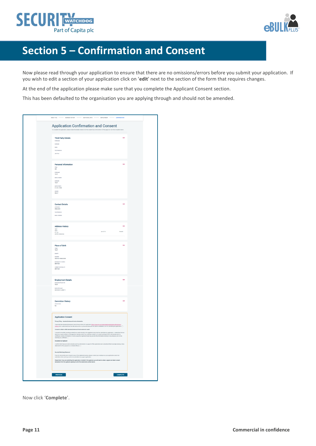



## **Section 5 – Confirmation and Consent**

Now please read through your application to ensure that there are no omissions/errors before you submit your application. If you wish to edit a section of your application click on '**edit**' next to the section of the form that requires changes.

At the end of the application please make sure that you complete the Applicant Consent section.

This has been defaulted to the organisation you are applying through and should not be amended.

| <b>Third Party Details</b><br><b>FORENAME</b><br>SINANE<br>DANI,<br>TELEPHONE NO<br><b>ATTACK</b>                                                                                                                                                                                                                                                                                                                                                                                                                                                                                                                                                                                                                                                                                                                                                                                                                                                                                                                                                                                                                                                                                                                                  |                                                                          | te                            |
|------------------------------------------------------------------------------------------------------------------------------------------------------------------------------------------------------------------------------------------------------------------------------------------------------------------------------------------------------------------------------------------------------------------------------------------------------------------------------------------------------------------------------------------------------------------------------------------------------------------------------------------------------------------------------------------------------------------------------------------------------------------------------------------------------------------------------------------------------------------------------------------------------------------------------------------------------------------------------------------------------------------------------------------------------------------------------------------------------------------------------------------------------------------------------------------------------------------------------------|--------------------------------------------------------------------------|-------------------------------|
| <b>Personal Information</b><br>$\frac{m x}{M R}$<br>FORENAM<br>MODLE NAMES<br>SURVANE<br>TEST<br>DATE OF BRITH<br>01/01/1993<br><b>GENDER</b><br>MALE                                                                                                                                                                                                                                                                                                                                                                                                                                                                                                                                                                                                                                                                                                                                                                                                                                                                                                                                                                                                                                                                              |                                                                          | tét                           |
| <b>Contact Details</b><br>LANDUADE<br>ENGLISH<br>TELEPHONE NO<br><b>PMAIL ADDRESS</b>                                                                                                                                                                                                                                                                                                                                                                                                                                                                                                                                                                                                                                                                                                                                                                                                                                                                                                                                                                                                                                                                                                                                              |                                                                          | 6d)                           |
| <b>Address History</b><br>TEST<br>TEST<br>UNITED KINGDOM                                                                                                                                                                                                                                                                                                                                                                                                                                                                                                                                                                                                                                                                                                                                                                                                                                                                                                                                                                                                                                                                                                                                                                           | Jan 2013                                                                 | <b>Ddit</b><br><b>Distant</b> |
| <b>Place of Birth</b><br>$\frac{m}{\text{Test}}$<br>COUNTY<br><b>UNITED KINGDOM</b><br>NATIONALITY AT BRITH<br>CURRENT NATIONALITY<br>EARLTISH                                                                                                                                                                                                                                                                                                                                                                                                                                                                                                                                                                                                                                                                                                                                                                                                                                                                                                                                                                                                                                                                                     |                                                                          |                               |
| <b>Employment Details</b><br>POSITION APPLIED FOR<br>TEST<br>DIFLOYER NAME<br>INVOICE CLIENT 1                                                                                                                                                                                                                                                                                                                                                                                                                                                                                                                                                                                                                                                                                                                                                                                                                                                                                                                                                                                                                                                                                                                                     |                                                                          | ter                           |
| <b>Conviction History</b><br>соместока<br>No                                                                                                                                                                                                                                                                                                                                                                                                                                                                                                                                                                                                                                                                                                                                                                                                                                                                                                                                                                                                                                                                                                                                                                                       |                                                                          | Edit                          |
| <b>Application Consent</b><br>Privacy Policy - standard/enhanced checks deck<br>These read the Standard/Enhanced Check Privacy Policy for applicants https://www.gov.uk/government/publications/dbs.privacy-<br>adicing and I understand how the DBS will process my personal data and the options available to m<br>Consent to obtain e-Bulk standard/enhanced check electronic res<br>i consent to the DBI providing an electronic result directly to the registered body that has submitted my application. I understand tha<br>electricic result contains a message that indicates either the certificate is blank or<br>Declaration by Applicant<br>when that I have provided complete and true infor<br>terrent for this purpose is a criminal offence. $\bigcap$<br>Security Watchdog Statement<br>.<br>If you do not provide your consent to any of the statements above, please contact your employer as your applic<br>submitted online and may need to be submitted via a paper application.<br>.<br>Please Note: If you are submitting this application on behalf of the applicant, you will need to obtain a signed and dated cor<br>declaration from the applicant agreeing to all of the statements outlined above. | hation in support of this application and understand that knowingly mail | ag a false                    |

Now click '**Complete**'.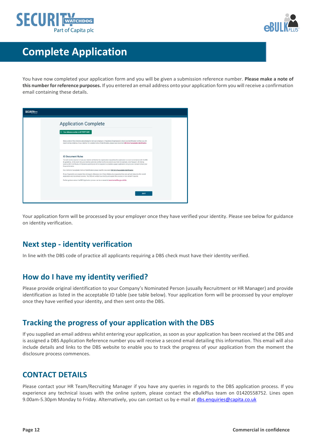



## **Complete Application**

You have now completed your application form and you will be given a submission reference number. **Please make a note of this number for reference purposes.** If you entered an email address onto your application form you will receive a confirmation email containing these details.

| <b>Application Complete</b>                                                                                                                                                                                                                                                                                                                                                                                                                                |
|------------------------------------------------------------------------------------------------------------------------------------------------------------------------------------------------------------------------------------------------------------------------------------------------------------------------------------------------------------------------------------------------------------------------------------------------------------|
| Your reference number is 421TEST714891                                                                                                                                                                                                                                                                                                                                                                                                                     |
| Make a note of this reference and arrange to visit your employer or Registered Organisation to have your identification verified, you will<br>need to bring evidence of your identity. For suitable forms of identification, please read document DBS list of acceptable identification.                                                                                                                                                                   |
| <b>ID Document Rules</b><br>You will now be required to have your identity verified by the organisation requesting this Application on you in accordance with the DBS<br>ID guidelines. In the event that your identity cannot be verified via the documents you hold (for example, valid Passport, UK Driving<br>Licence, Birth Certificate, UK Residence permit) you will be required to complete a paper application and give your consent to have your |
| fingerprints taken.<br>For a full list of acceptable forms of identification please read the document DBS list of acceptable identification.<br>If your fingerprints are required this will require attendance at a Police Station at an appointed time and will add delay into the overall                                                                                                                                                                |
| Application and recruitment process. The DBS will contact you directly and explain this process in more detail if required.<br>Further quidance about the DBS Application process can be accessed at www.homeoffice.gov.uk/dbs.                                                                                                                                                                                                                            |
| EXIT                                                                                                                                                                                                                                                                                                                                                                                                                                                       |
|                                                                                                                                                                                                                                                                                                                                                                                                                                                            |

Your application form will be processed by your employer once they have verified your identity. Please see below for guidance on identity verification.

### **Next step - identity verification**

In line with the DBS code of practice all applicants requiring a DBS check must have their identity verified.

### **How do I have my identity verified?**

Please provide original identification to your Company's Nominated Person (usually Recruitment or HR Manager) and provide identification as listed in the acceptable ID table (see table below). Your application form will be processed by your employer once they have verified your identity, and then sent onto the DBS.

#### **Tracking the progress of your application with the DBS**

If you supplied an email address whilst entering your application, as soon as your application has been received at the DBS and is assigned a DBS Application Reference number you will receive a second email detailing this information. This email will also include details and links to the DBS website to enable you to track the progress of your application from the moment the disclosure process commences.

#### **CONTACT DETAILS**

Please contact your HR Team/Recruiting Manager if you have any queries in regards to the DBS application process. If you experience any technical issues with the online system, please contact the eBulkPlus team on 01420558752. Lines open 9.00am-5.30pm Monday to Friday. Alternatively, you can contact us by e-mail a[t dbs.enquiries@capita.co.uk](mailto:dbs.enquiries@capita.co.uk)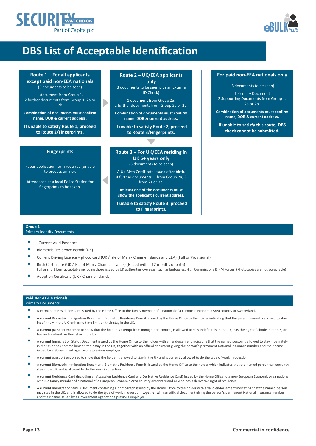



## **DBS List of Acceptable Identification**

#### **Route 1 – For all applicants Route 2 – UK/EEA applicants except paid non-EEA nationals only** (3 documents to be seen) (3 documents to be seen plus an External ID Check) 1 document from Group 1. 2 further documents from Group 1, 2a or 1 document from Group 2a. 2 further documents from Group 2a or 2b.  $2<sub>b</sub>$ **Combination of documents must confirm Combination of documents must confirm name, DOB & current address. name, DOB & current address. If unable to satisfy Route 1, proceed If unable to satisfy Route 2, proceed to Route 2/Fingerprints. to Route 3/Fingerprints. Route 3 – For UK/EEA residing in UK 5+ years only** (5 documents to be seen) A UK Birth Certificate issued after birth. 4 further documents, 1 from Group 2a, 3  $\overline{\phantom{a}}$ from 2a or 2b.

**At least one of the documents must show the applicant's current address.**

**If unable to satisfy Route 3, proceed to Fingerprints.**

#### **For paid non-EEA nationals only**

(3 documents to be seen)

1 Primary Document 2 Supporting Documents from Group 1, 2a or 2b.

**Combination of documents must confirm name, DOB & current address.**

**If unable to satisfy this route, DBS check cannot be submitted.**

#### **Fingerprints**

Paper application form required (unable to process online).

Attendance at a local Police Station for fingerprints to be taken.

#### **Group 1** Primary Identity Documents

- Current valid Passport
- Biometric Residence Permit (UK)
- Current Driving Licence photo card (UK / Isle of Man / Channel Islands and EEA) (Full or Provisional)
- Birth Certificate (UK / Isle of Man / Channel Islands) (Issued within 12 months of birth) Full or short form acceptable including those issued by UK authorities overseas, such as Embassies, High Commissions & HM Forces. (Photocopies are not acceptable)
- Adoption Certificate (UK / Channel Islands)

#### **Paid Non-EEA Nationals** Primary Documents

- A Permanent Residence Card issued by the Home Office to the family member of a national of a European Economic Area country or Switzerland.
- <sup>A</sup>**current** Biometric Immigration Document (Biometric Residence Permit) issued by the Home Office to the holder indicating that the person named is allowed to stay indefinitely in the UK, or has no time limit on their stay in the UK.
- <sup>A</sup>**current** passport endorsed to show that the holder is exempt from immigration control, is allowed to stay indefinitely in the UK, has the right of abode in the UK, or has no time limit on their stay in the UK.
- <sup>A</sup>**current** Immigration Status Document issued by the Home Office to the holder with an endorsement indicating that the named person is allowed to stay indefinitely in the UK or has no time limit on their stay in the UK, **together with** an official document giving the person's permanent National Insurance number and their name issued by a Government agency or a previous employer.
- <sup>A</sup>**current** passport endorsed to show that the holder is allowed to stay in the UK and is currently allowed to do the type of work in question.
- <sup>A</sup>**current** Biometric Immigration Document (Biometric Residence Permit) issued by the Home Office to the holder which indicates that the named person can currently stay in the UK and is allowed to do the work in question.
- <sup>A</sup>**current** Residence Card (including an Accession Residence Card or a Derivative Residence Card) issued by the Home Office to a non-European Economic Area national who is a family member of a national of a European Economic Area country or Switzerland or who has a derivative right of residence.
- <sup>A</sup>**current** Immigration Status Document containing a photograph issued by the Home Office to the holder with a valid endorsement indicating that the named person may stay in the UK, and is allowed to do the type of work in question, **together with** an official document giving the person's permanent National Insurance number and their name issued by a Government agency or a previous employer.